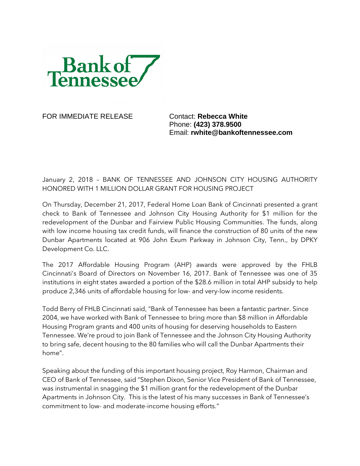

FOR IMMEDIATE RELEASE Contact: **Rebecca White** 

Phone: **(423) 378.9500** Email: **rwhite@bankoftennessee.com**

January 2, 2018 – BANK OF TENNESSEE AND JOHNSON CITY HOUSING AUTHORITY HONORED WITH 1 MILLION DOLLAR GRANT FOR HOUSING PROJECT

On Thursday, December 21, 2017, Federal Home Loan Bank of Cincinnati presented a grant check to Bank of Tennessee and Johnson City Housing Authority for \$1 million for the redevelopment of the Dunbar and Fairview Public Housing Communities. The funds, along with low income housing tax credit funds, will finance the construction of 80 units of the new Dunbar Apartments located at 906 John Exum Parkway in Johnson City, Tenn., by DPKY Development Co. LLC.

The 2017 Affordable Housing Program (AHP) awards were approved by the FHLB Cincinnati's Board of Directors on November 16, 2017. Bank of Tennessee was one of 35 institutions in eight states awarded a portion of the \$28.6 million in total AHP subsidy to help produce 2,346 units of affordable housing for low- and very-low income residents.

Todd Berry of FHLB Cincinnati said, "Bank of Tennessee has been a fantastic partner. Since 2004, we have worked with Bank of Tennessee to bring more than \$8 million in Affordable Housing Program grants and 400 units of housing for deserving households to Eastern Tennessee. We're proud to join Bank of Tennessee and the Johnson City Housing Authority to bring safe, decent housing to the 80 families who will call the Dunbar Apartments their home".

Speaking about the funding of this important housing project, Roy Harmon, Chairman and CEO of Bank of Tennessee, said "Stephen Dixon, Senior Vice President of Bank of Tennessee, was instrumental in snagging the \$1 million grant for the redevelopment of the Dunbar Apartments in Johnson City. This is the latest of his many successes in Bank of Tennessee's commitment to low- and moderate-income housing efforts."